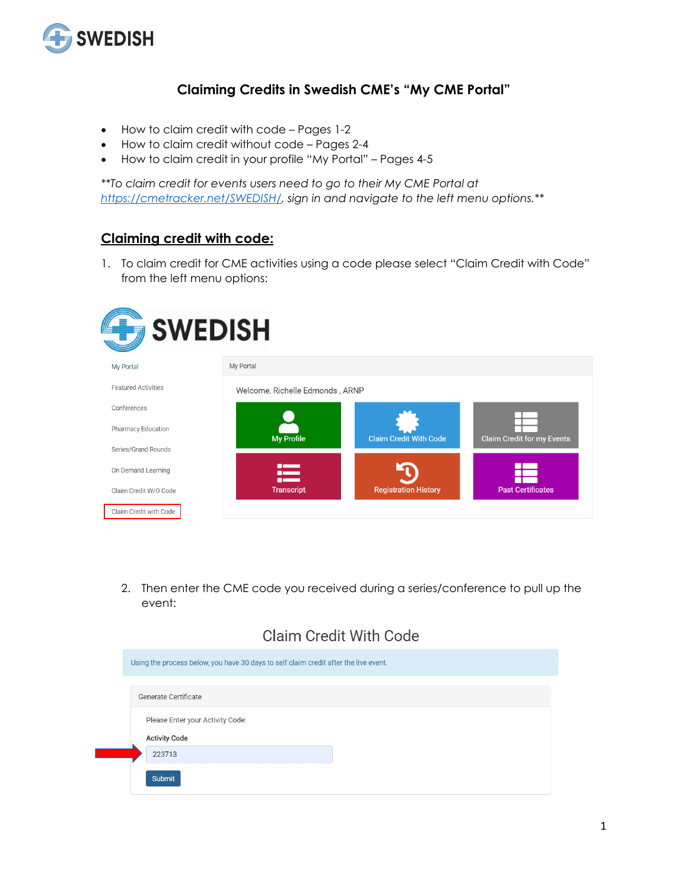

#### **Claiming Credits in Swedish CME's "My CME Portal"**

- How to claim credit with code Pages 1-2
- How to claim credit without code Pages 2-4
- How to claim credit in your profile "My Portal" Pages 4-5

*\*\*To claim credit for events users need to go to their My CME Portal at [https://cmetracker.net/SWEDISH/,](https://cmetracker.net/SWEDISH/) sign in and navigate to the left menu options.\*\**

#### **Claiming credit with code:**

1. To claim credit for CME activities using a code please select "Claim Credit with Code" from the left menu options:

| <b>SWEDISH</b>             |                                      |                               |                            |
|----------------------------|--------------------------------------|-------------------------------|----------------------------|
| <b>My Portal</b>           | My Portal                            |                               |                            |
| <b>Featured Activities</b> | Welcome, Richelle Edmonds, ARNP      |                               |                            |
| Conferences                |                                      |                               |                            |
| <b>Pharmacy Education</b>  | <b>My Profile</b>                    | <b>Claim Credit With Code</b> | Claim Credit for my Events |
| Series/Grand Rounds        |                                      |                               |                            |
| On Demand Learning         | <b>COMPUTER</b><br>$\sim$<br>n and a |                               |                            |
| Claim Credit W/O Code      | <b>Transcript</b>                    | <b>Registration History</b>   | <b>Past Certificates</b>   |
| Claim Credit with Code     |                                      |                               |                            |

2. Then enter the CME code you received during a series/conference to pull up the event:

### **Claim Credit With Code**

| Using the process below, you have 30 days to self claim credit after the live event. |
|--------------------------------------------------------------------------------------|
| Generate Certificate                                                                 |
| Please Enter your Activity Code:<br><b>Activity Code</b>                             |
| 223713                                                                               |
| Submit                                                                               |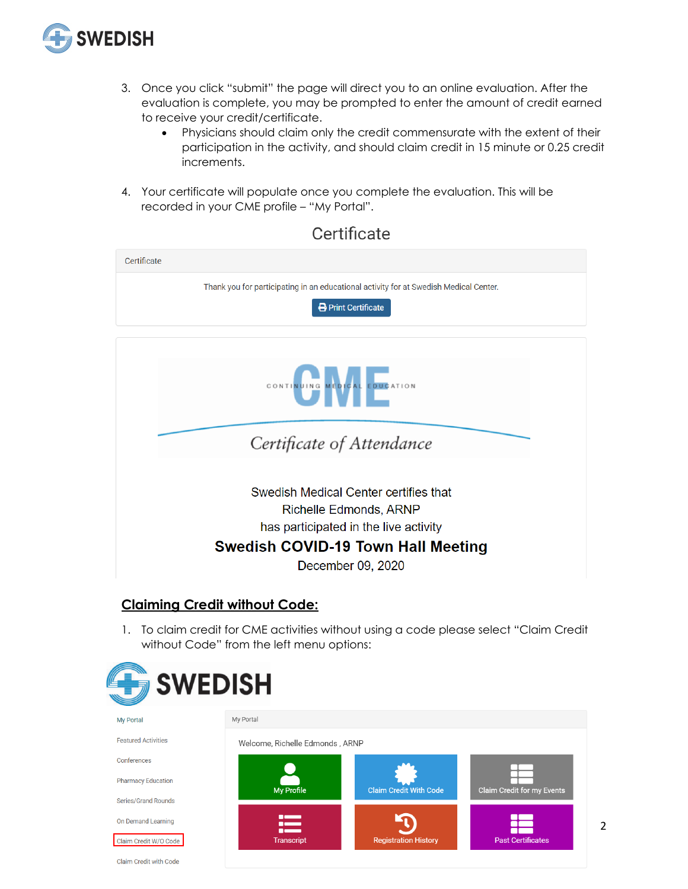

- 3. Once you click "submit" the page will direct you to an online evaluation. After the evaluation is complete, you may be prompted to enter the amount of credit earned to receive your credit/certificate.
	- Physicians should claim only the credit commensurate with the extent of their participation in the activity, and should claim credit in 15 minute or 0.25 credit increments.
- 4. Your certificate will populate once you complete the evaluation. This will be recorded in your CME profile – "My Portal".

| Certificate                                                                                                                                                                |
|----------------------------------------------------------------------------------------------------------------------------------------------------------------------------|
| Thank you for participating in an educational activity for at Swedish Medical Center.<br>Print Certificate                                                                 |
|                                                                                                                                                                            |
| CONTINUING MEDICAL EDUCATION                                                                                                                                               |
| Certificate of Attendance                                                                                                                                                  |
| Swedish Medical Center certifies that<br>Richelle Edmonds, ARNP<br>has participated in the live activity<br><b>Swedish COVID-19 Town Hall Meeting</b><br>December 09, 2020 |

#### **Claiming Credit without Code:**

1. To claim credit for CME activities without using a code please select "Claim Credit without Code" from the left menu options:



### Certificate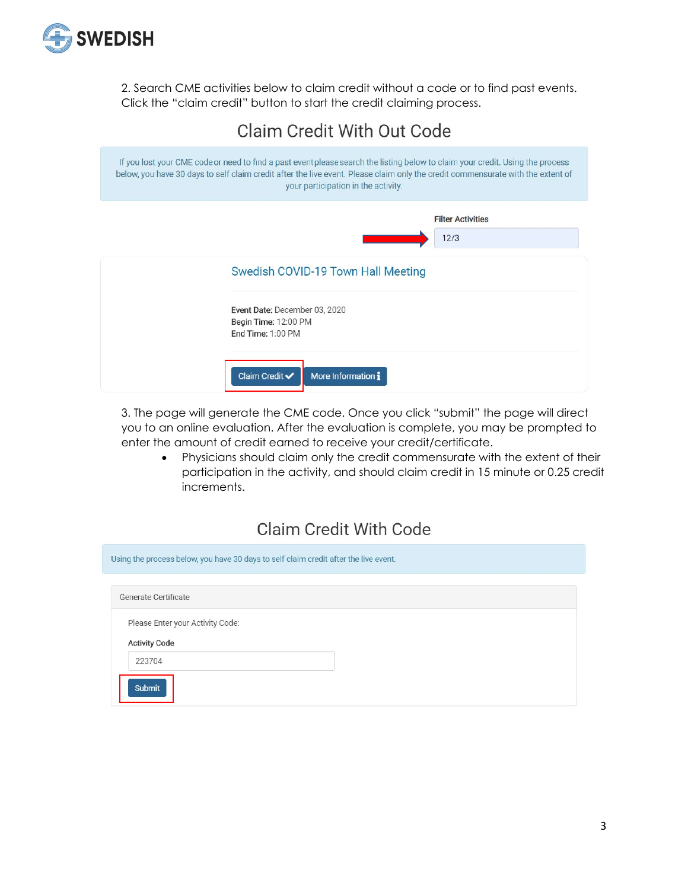

2. Search CME activities below to claim credit without a code or to find past events. Click the "claim credit" button to start the credit claiming process.

# Claim Credit With Out Code If you lost your CME code or need to find a past event please search the listing below to claim your credit. Using the process below, you have 30 days to self claim credit after the live event. Please claim only the credit commensurate with the extent of your participation in the activity. **Filter Activities**  $12/3$ Swedish COVID-19 Town Hall Meeting Event Date: December 03, 2020 Begin Time: 12:00 PM End Time: 1:00 PM Claim Credit  $\checkmark$ More Information i

3. The page will generate the CME code. Once you click "submit" the page will direct you to an online evaluation. After the evaluation is complete, you may be prompted to enter the amount of credit earned to receive your credit/certificate.

• Physicians should claim only the credit commensurate with the extent of their participation in the activity, and should claim credit in 15 minute or 0.25 credit increments.

## **Claim Credit With Code**

| Using the process below, you have 30 days to self claim credit after the live event. |
|--------------------------------------------------------------------------------------|
| Generate Certificate                                                                 |
| Please Enter your Activity Code:                                                     |
| <b>Activity Code</b><br>223704                                                       |
| <b>Submit</b>                                                                        |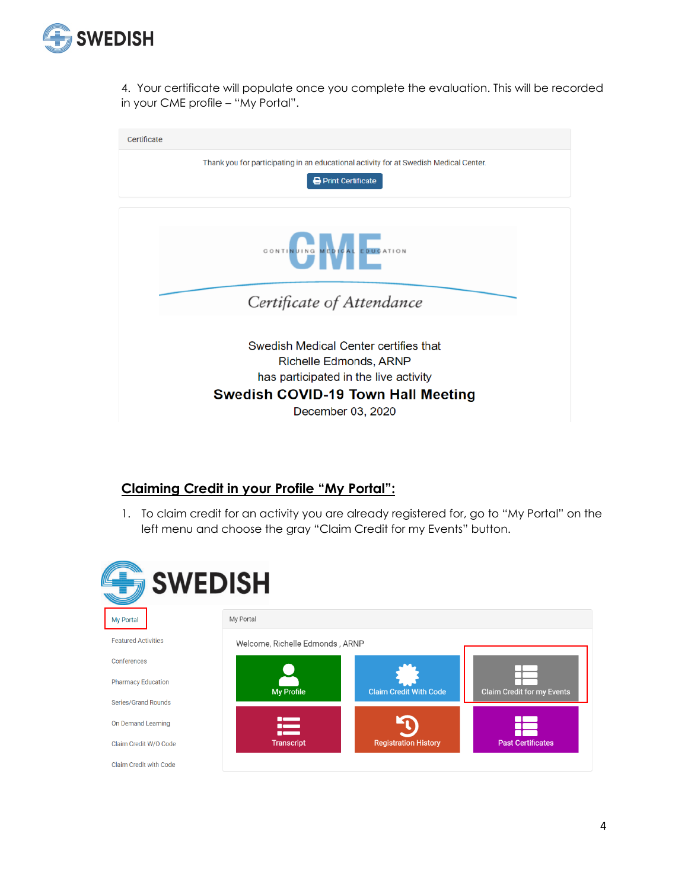

4. Your certificate will populate once you complete the evaluation. This will be recorded in your CME profile – "My Portal".

| Certificate                                                                                              |  |  |  |
|----------------------------------------------------------------------------------------------------------|--|--|--|
| Thank you for participating in an educational activity for at Swedish Medical Center.                    |  |  |  |
| <b>Print Certificate</b>                                                                                 |  |  |  |
|                                                                                                          |  |  |  |
| CONTINUING MEDICAL EDUCATION                                                                             |  |  |  |
| Certificate of Attendance                                                                                |  |  |  |
| Swedish Medical Center certifies that<br>Richelle Edmonds, ARNP<br>has participated in the live activity |  |  |  |
| <b>Swedish COVID-19 Town Hall Meeting</b>                                                                |  |  |  |
| December 03, 2020                                                                                        |  |  |  |

#### **Claiming Credit in your Profile "My Portal":**

1. To claim credit for an activity you are already registered for, go to "My Portal" on the left menu and choose the gray "Claim Credit for my Events" button.